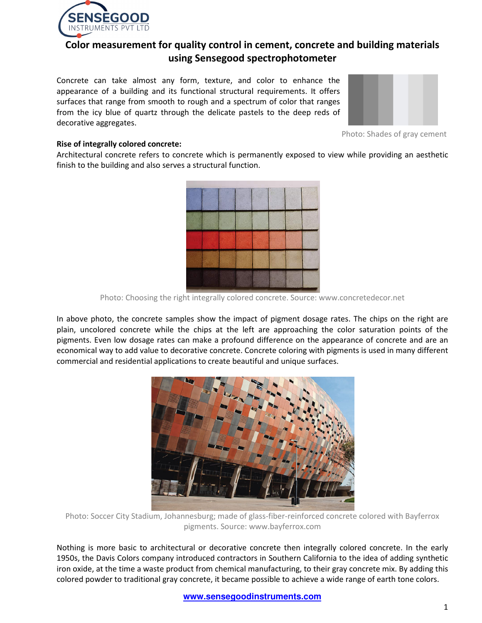

# **Color measurement for quality control in cement, concrete and building materials using Sensegood spectrophotometer**

Concrete can take almost any form, texture, and color to enhance the appearance of a building and its functional structural requirements. It offers surfaces that range from smooth to rough and a spectrum of color that ranges from the icy blue of quartz through the delicate pastels to the deep reds of decorative aggregates.



Photo: Shades of gray cement

# **Rise of integrally colored concrete:**

Architectural concrete refers to concrete which is permanently exposed to view while providing an aesthetic finish to the building and also serves a structural function.



Photo: Choosing the right integrally colored concrete. Source: www.concretedecor.net

In above photo, the concrete samples show the impact of pigment dosage rates. The chips on the right are plain, uncolored concrete while the chips at the left are approaching the color saturation points of the pigments. Even low dosage rates can make a profound difference on the appearance of concrete and are an economical way to add value to decorative concrete. Concrete coloring with pigments is used in many different commercial and residential applications to create beautiful and unique surfaces.



Photo: Soccer City Stadium, Johannesburg; made of glass-fiber-reinforced concrete colored with Bayferrox pigments. Source: www.bayferrox.com

Nothing is more basic to architectural or decorative concrete then integrally colored concrete. In the early 1950s, the Davis Colors company introduced contractors in Southern California to the idea of adding synthetic iron oxide, at the time a waste product from chemical manufacturing, to their gray concrete mix. By adding this colored powder to traditional gray concrete, it became possible to achieve a wide range of earth tone colors.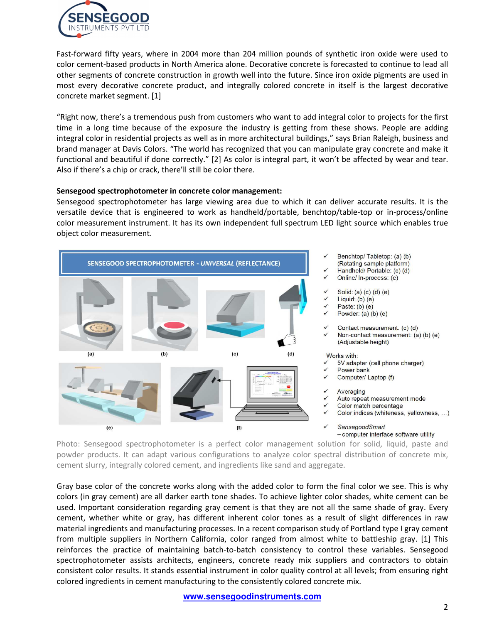

Fast-forward fifty years, where in 2004 more than 204 million pounds of synthetic iron oxide were used to color cement-based products in North America alone. Decorative concrete is forecasted to continue to lead all other segments of concrete construction in growth well into the future. Since iron oxide pigments are used in most every decorative concrete product, and integrally colored concrete in itself is the largest decorative concrete market segment. [1]

"Right now, there's a tremendous push from customers who want to add integral color to projects for the first time in a long time because of the exposure the industry is getting from these shows. People are adding integral color in residential projects as well as in more architectural buildings," says Brian Raleigh, business and brand manager at Davis Colors. "The world has recognized that you can manipulate gray concrete and make it functional and beautiful if done correctly." [2] As color is integral part, it won't be affected by wear and tear. Also if there's a chip or crack, there'll still be color there.

### **Sensegood spectrophotometer in concrete color management:**

Sensegood spectrophotometer has large viewing area due to which it can deliver accurate results. It is the versatile device that is engineered to work as handheld/portable, benchtop/table-top or in-process/online color measurement instrument. It has its own independent full spectrum LED light source which enables true object color measurement.



- Benchtop/Tabletop: (a) (b)
- (Rotating sample platform)
- Handheld/ Portable: (c) (d)
- Online/In-process: (e)
- Solid: (a) (c) (d) (e)
- Liquid:  $(b)$  (e)
- Paste:  $(b)$  (e)
- Powder:  $(a)$   $(b)$   $(e)$
- Contact measurement: (c) (d)
- Non-contact measurement: (a) (b) (e) (Adjustable height)

#### Works with:

- 5V adapter (cell phone charger)
- Power bank
- Computer/ Laptop (f)
- Averaging
- Auto repeat measurement mode
- Color match percentage
- Color indices (whiteness, yellowness, ...)
- SensegoodSmart - computer interface software utility

Photo: Sensegood spectrophotometer is a perfect color management solution for solid, liquid, paste and powder products. It can adapt various configurations to analyze color spectral distribution of concrete mix, cement slurry, integrally colored cement, and ingredients like sand and aggregate.

Gray base color of the concrete works along with the added color to form the final color we see. This is why colors (in gray cement) are all darker earth tone shades. To achieve lighter color shades, white cement can be used. Important consideration regarding gray cement is that they are not all the same shade of gray. Every cement, whether white or gray, has different inherent color tones as a result of slight differences in raw material ingredients and manufacturing processes. In a recent comparison study of Portland type I gray cement from multiple suppliers in Northern California, color ranged from almost white to battleship gray. [1] This reinforces the practice of maintaining batch-to-batch consistency to control these variables. Sensegood spectrophotometer assists architects, engineers, concrete ready mix suppliers and contractors to obtain consistent color results. It stands essential instrument in color quality control at all levels; from ensuring right colored ingredients in cement manufacturing to the consistently colored concrete mix.

**www.sensegoodinstruments.com**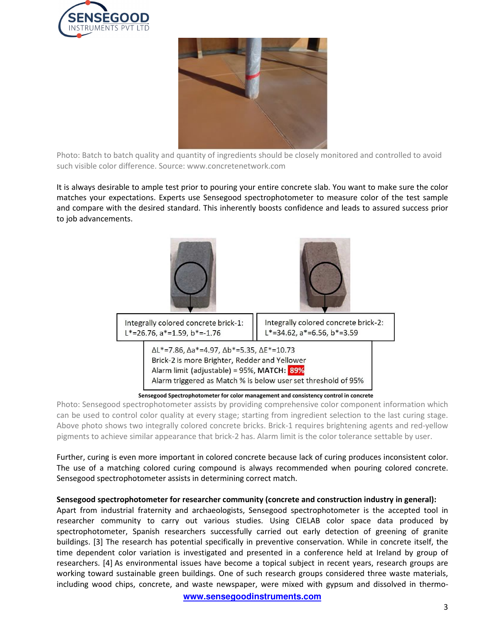



Photo: Batch to batch quality and quantity of ingredients should be closely monitored and controlled to avoid such visible color difference. Source: www.concretenetwork.com

It is always desirable to ample test prior to pouring your entire concrete slab. You want to make sure the color matches your expectations. Experts use Sensegood spectrophotometer to measure color of the test sample and compare with the desired standard. This inherently boosts confidence and leads to assured success prior to job advancements.



 **Sensegood Spectrophotometer for color management and consistency control in concrete**

Photo: Sensegood spectrophotometer assists by providing comprehensive color component information which can be used to control color quality at every stage; starting from ingredient selection to the last curing stage. Above photo shows two integrally colored concrete bricks. Brick-1 requires brightening agents and red-yellow pigments to achieve similar appearance that brick-2 has. Alarm limit is the color tolerance settable by user.

Further, curing is even more important in colored concrete because lack of curing produces inconsistent color. The use of a matching colored curing compound is always recommended when pouring colored concrete. Sensegood spectrophotometer assists in determining correct match.

# **Sensegood spectrophotometer for researcher community (concrete and construction industry in general):**

Apart from industrial fraternity and archaeologists, Sensegood spectrophotometer is the accepted tool in researcher community to carry out various studies. Using CIELAB color space data produced by spectrophotometer, Spanish researchers successfully carried out early detection of greening of granite buildings. [3] The research has potential specifically in preventive conservation. While in concrete itself, the time dependent color variation is investigated and presented in a conference held at Ireland by group of researchers. [4] As environmental issues have become a topical subject in recent years, research groups are working toward sustainable green buildings. One of such research groups considered three waste materials, including wood chips, concrete, and waste newspaper, were mixed with gypsum and dissolved in thermo-

**www.sensegoodinstruments.com**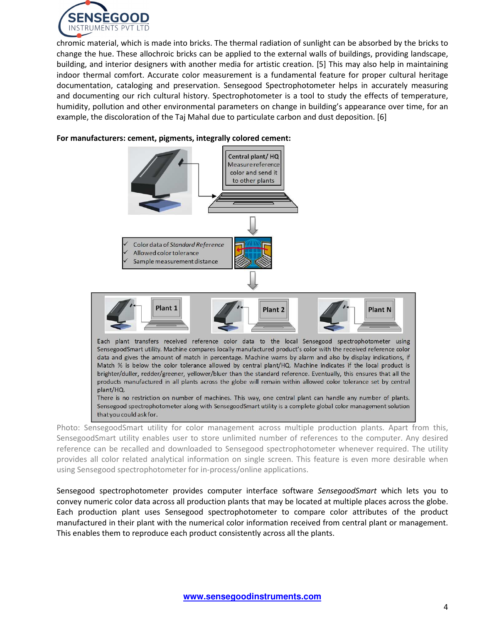

chromic material, which is made into bricks. The thermal radiation of sunlight can be absorbed by the bricks to change the hue. These allochroic bricks can be applied to the external walls of buildings, providing landscape, building, and interior designers with another media for artistic creation. [5] This may also help in maintaining indoor thermal comfort. Accurate color measurement is a fundamental feature for proper cultural heritage documentation, cataloging and preservation. Sensegood Spectrophotometer helps in accurately measuring and documenting our rich cultural history. Spectrophotometer is a tool to study the effects of temperature, humidity, pollution and other environmental parameters on change in building's appearance over time, for an example, the discoloration of the Taj Mahal due to particulate carbon and dust deposition. [6]

### **For manufacturers: cement, pigments, integrally colored cement:**



Photo: SensegoodSmart utility for color management across multiple production plants. Apart from this, SensegoodSmart utility enables user to store unlimited number of references to the computer. Any desired reference can be recalled and downloaded to Sensegood spectrophotometer whenever required. The utility provides all color related analytical information on single screen. This feature is even more desirable when using Sensegood spectrophotometer for in-process/online applications.

Sensegood spectrophotometer provides computer interface software *SensegoodSmart* which lets you to convey numeric color data across all production plants that may be located at multiple places across the globe. Each production plant uses Sensegood spectrophotometer to compare color attributes of the product manufactured in their plant with the numerical color information received from central plant or management. This enables them to reproduce each product consistently across all the plants.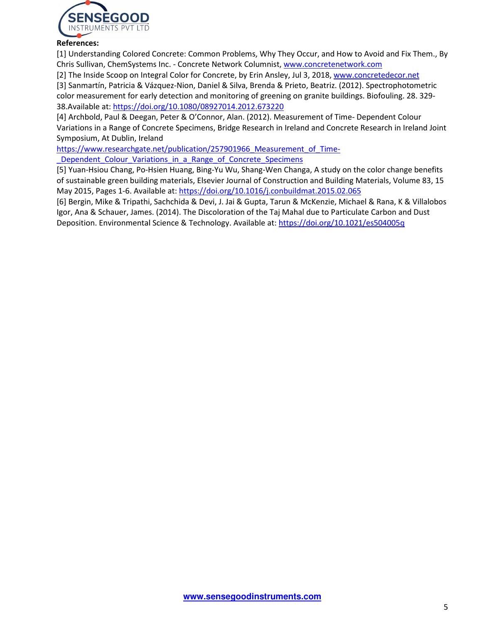

# **References:**

[1] Understanding Colored Concrete: Common Problems, Why They Occur, and How to Avoid and Fix Them., By Chris Sullivan, ChemSystems Inc. - Concrete Network Columnist, www.concretenetwork.com

[2] The Inside Scoop on Integral Color for Concrete, by Erin Ansley, Jul 3, 2018, www.concretedecor.net

[3] Sanmartín, Patricia & Vázquez-Nion, Daniel & Silva, Brenda & Prieto, Beatriz. (2012). Spectrophotometric color measurement for early detection and monitoring of greening on granite buildings. Biofouling. 28. 329- 38.Available at: https://doi.org/10.1080/08927014.2012.673220

[4] Archbold, Paul & Deegan, Peter & O'Connor, Alan. (2012). Measurement of Time- Dependent Colour Variations in a Range of Concrete Specimens, Bridge Research in Ireland and Concrete Research in Ireland Joint Symposium, At Dublin, Ireland

https://www.researchgate.net/publication/257901966 Measurement of Time-Dependent Colour Variations in a Range of Concrete Specimens

[5] Yuan-Hsiou Chang, Po-Hsien Huang, Bing-Yu Wu, Shang-Wen Changa, A study on the color change benefits of sustainable green building materials, Elsevier Journal of Construction and Building Materials, Volume 83, 15 May 2015, Pages 1-6. Available at: https://doi.org/10.1016/j.conbuildmat.2015.02.065

[6] Bergin, Mike & Tripathi, Sachchida & Devi, J. Jai & Gupta, Tarun & McKenzie, Michael & Rana, K & Villalobos Igor, Ana & Schauer, James. (2014). The Discoloration of the Taj Mahal due to Particulate Carbon and Dust Deposition. Environmental Science & Technology. Available at: https://doi.org/10.1021/es504005q